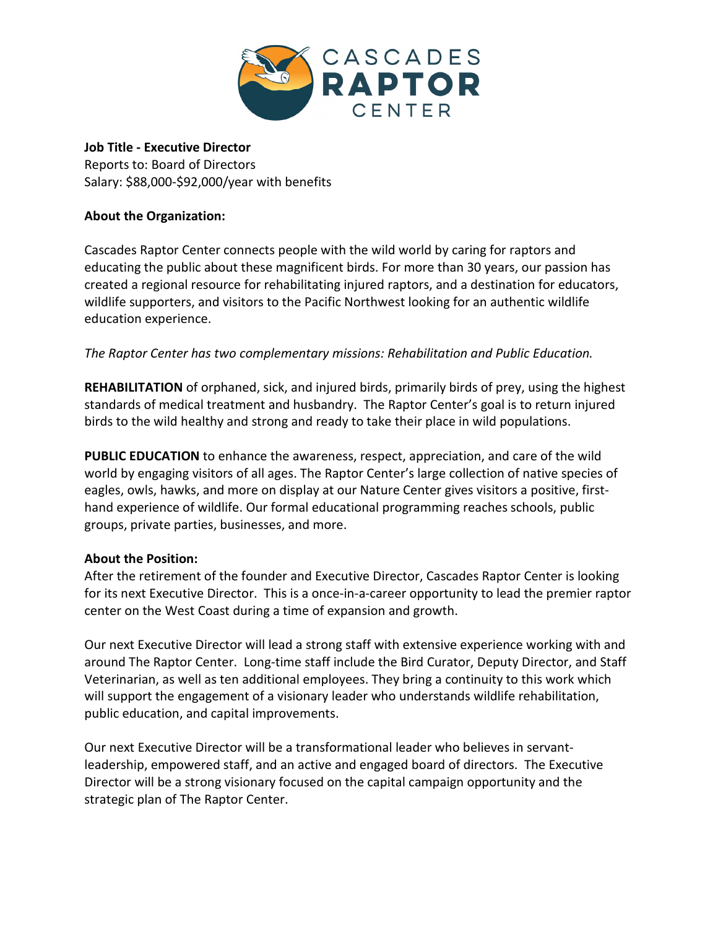

**Job Title - Executive Director** Reports to: Board of Directors Salary: \$88,000-\$92,000/year with benefits

## **About the Organization:**

Cascades Raptor Center connects people with the wild world by caring for raptors and educating the public about these magnificent birds. For more than 30 years, our passion has created a regional resource for rehabilitating injured raptors, and a destination for educators, wildlife supporters, and visitors to the Pacific Northwest looking for an authentic wildlife education experience.

*The Raptor Center has two complementary missions: Rehabilitation and Public Education.*

**[REHABILITATION](https://cascadesraptorcenter.org/wildlife-hospital/)** of orphaned, sick, and injured birds, primarily birds of prey, using the highest standards of medical treatment and husbandry. The Raptor Center's goal is to return injured birds to the wild healthy and strong and ready to take their place in wild populations.

**[PUBLIC EDUCATION](https://cascadesraptorcenter.org/education/)** to enhance the awareness, respect, appreciation, and care of the wild world by engaging visitors of all ages. The Raptor Center's large collection of native species of eagles, owls, hawks, and more on display at our Nature Center gives visitors a positive, firsthand experience of wildlife. Our formal educational programming reaches schools, public groups, private parties, businesses, and more.

#### **About the Position:**

After the retirement of the founder and Executive Director, Cascades Raptor Center is looking for its next Executive Director. This is a once-in-a-career opportunity to lead the premier raptor center on the West Coast during a time of expansion and growth.

Our next Executive Director will lead a strong staff with extensive experience working with and around The Raptor Center. Long-time staff include the Bird Curator, Deputy Director, and Staff Veterinarian, as well as ten additional employees. They bring a continuity to this work which will support the engagement of a visionary leader who understands wildlife rehabilitation, public education, and capital improvements.

Our next Executive Director will be a transformational leader who believes in servantleadership, empowered staff, and an active and engaged board of directors. The Executive Director will be a strong visionary focused on the capital campaign opportunity and the strategic plan of The Raptor Center.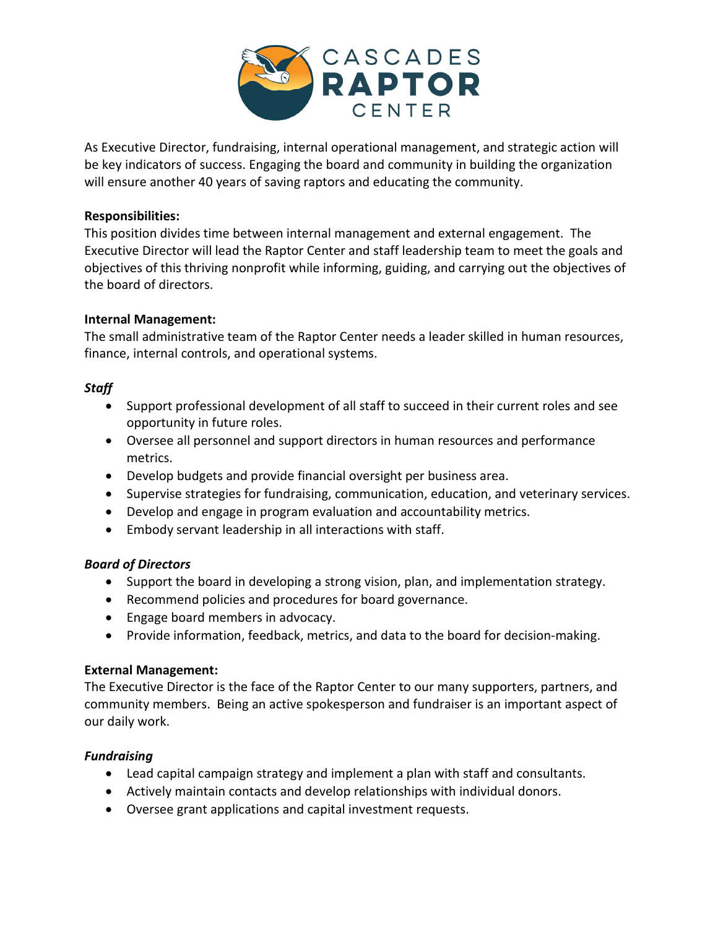

As Executive Director, fundraising, internal operational management, and strategic action will be key indicators of success. Engaging the board and community in building the organization will ensure another 40 years of saving raptors and educating the community.

#### **Responsibilities:**

This position divides time between internal management and external engagement. The Executive Director will lead the Raptor Center and staff leadership team to meet the goals and objectives of this thriving nonprofit while informing, guiding, and carrying out the objectives of the board of directors.

## **Internal Management:**

The small administrative team of the Raptor Center needs a leader skilled in human resources, finance, internal controls, and operational systems.

## *Staff*

- Support professional development of all staff to succeed in their current roles and see opportunity in future roles.
- Oversee all personnel and support directors in human resources and performance metrics.
- Develop budgets and provide financial oversight per business area.
- Supervise strategies for fundraising, communication, education, and veterinary services.
- Develop and engage in program evaluation and accountability metrics.
- Embody servant leadership in all interactions with staff.

# *Board of Directors*

- Support the board in developing a strong vision, plan, and implementation strategy.
- Recommend policies and procedures for board governance.
- Engage board members in advocacy.
- Provide information, feedback, metrics, and data to the board for decision-making.

#### **External Management:**

The Executive Director is the face of the Raptor Center to our many supporters, partners, and community members. Being an active spokesperson and fundraiser is an important aspect of our daily work.

#### *Fundraising*

- Lead capital campaign strategy and implement a plan with staff and consultants.
- Actively maintain contacts and develop relationships with individual donors.
- Oversee grant applications and capital investment requests.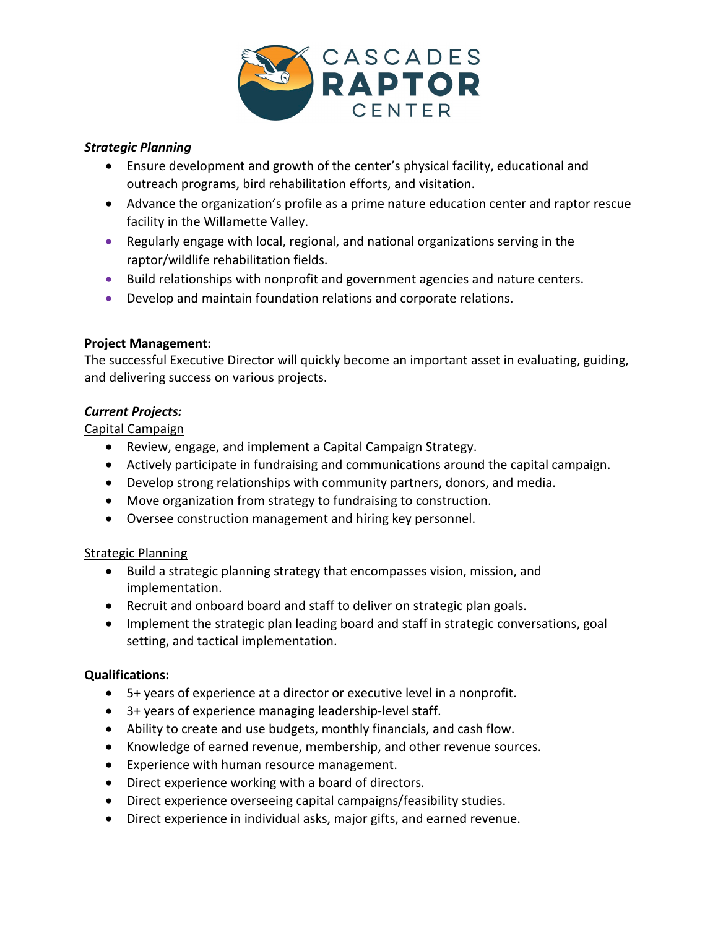

## *Strategic Planning*

- Ensure development and growth of the center's physical facility, educational and outreach programs, bird rehabilitation efforts, and visitation.
- Advance the organization's profile as a prime nature education center and raptor rescue facility in the Willamette Valley.
- Regularly engage with local, regional, and national organizations serving in the raptor/wildlife rehabilitation fields.
- Build relationships with nonprofit and government agencies and nature centers.
- Develop and maintain foundation relations and corporate relations.

## **Project Management:**

The successful Executive Director will quickly become an important asset in evaluating, guiding, and delivering success on various projects.

## *Current Projects:*

## Capital Campaign

- Review, engage, and implement a Capital Campaign Strategy.
- Actively participate in fundraising and communications around the capital campaign.
- Develop strong relationships with community partners, donors, and media.
- Move organization from strategy to fundraising to construction.
- Oversee construction management and hiring key personnel.

# Strategic Planning

- Build a strategic planning strategy that encompasses vision, mission, and implementation.
- Recruit and onboard board and staff to deliver on strategic plan goals.
- Implement the strategic plan leading board and staff in strategic conversations, goal setting, and tactical implementation.

#### **Qualifications:**

- 5+ years of experience at a director or executive level in a nonprofit.
- 3+ years of experience managing leadership-level staff.
- Ability to create and use budgets, monthly financials, and cash flow.
- Knowledge of earned revenue, membership, and other revenue sources.
- Experience with human resource management.
- Direct experience working with a board of directors.
- Direct experience overseeing capital campaigns/feasibility studies.
- Direct experience in individual asks, major gifts, and earned revenue.